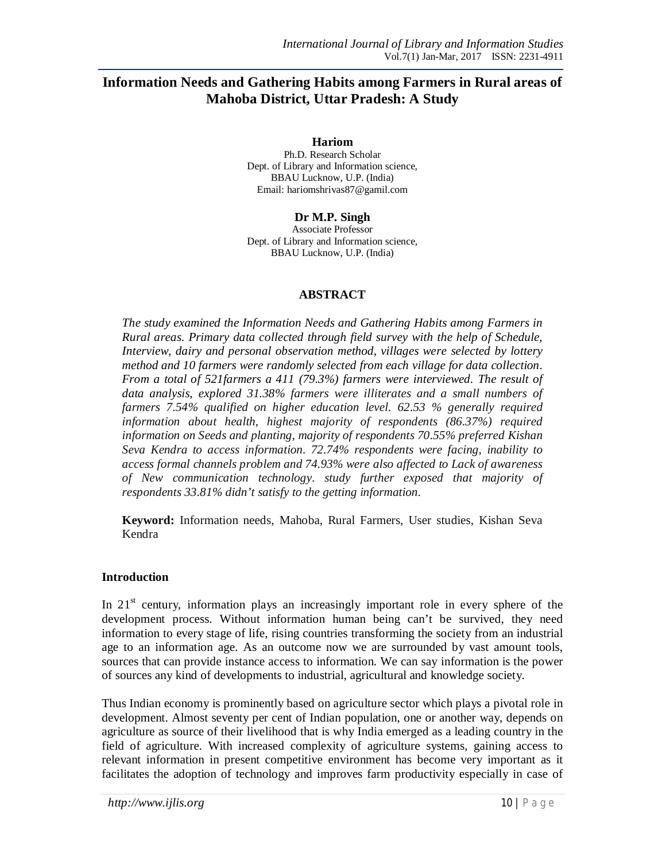# **Information Needs and Gathering Habits among Farmers in Rural areas of Mahoba District, Uttar Pradesh: A Study**

**Hariom**

Ph.D. Research Scholar Dept. of Library and Information science, BBAU Lucknow, U.P. (India) Email: hariomshrivas87@gamil.com

**Dr M.P. Singh**

Associate Professor Dept. of Library and Information science, BBAU Lucknow, U.P. (India)

## **ABSTRACT**

*The study examined the Information Needs and Gathering Habits among Farmers in Rural areas. Primary data collected through field survey with the help of Schedule, Interview, dairy and personal observation method, villages were selected by lottery method and 10 farmers were randomly selected from each village for data collection. From a total of 521farmers a 411 (79.3%) farmers were interviewed. The result of data analysis, explored 31.38% farmers were illiterates and a small numbers of farmers 7.54% qualified on higher education level. 62.53 % generally required information about health, highest majority of respondents (86.37%) required information on Seeds and planting, majority of respondents 70.55% preferred Kishan Seva Kendra to access information. 72.74% respondents were facing, inability to access formal channels problem and 74.93% were also affected to Lack of awareness of New communication technology. study further exposed that majority of respondents 33.81% didn't satisfy to the getting information.* 

**Keyword:** Information needs, Mahoba, Rural Farmers, User studies, Kishan Seva Kendra

## **Introduction**

In  $21<sup>st</sup>$  century, information plays an increasingly important role in every sphere of the development process. Without information human being can't be survived, they need information to every stage of life, rising countries transforming the society from an industrial age to an information age. As an outcome now we are surrounded by vast amount tools, sources that can provide instance access to information. We can say information is the power of sources any kind of developments to industrial, agricultural and knowledge society.

Thus Indian economy is prominently based on agriculture sector which plays a pivotal role in development. Almost seventy per cent of Indian population, one or another way, depends on agriculture as source of their livelihood that is why India emerged as a leading country in the field of agriculture. With increased complexity of agriculture systems, gaining access to relevant information in present competitive environment has become very important as it facilitates the adoption of technology and improves farm productivity especially in case of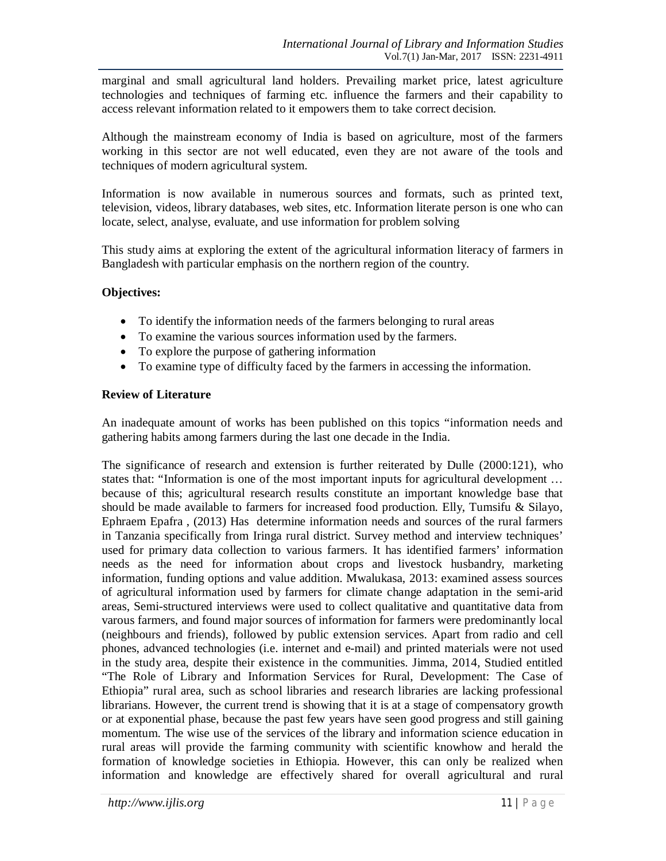marginal and small agricultural land holders. Prevailing market price, latest agriculture technologies and techniques of farming etc. influence the farmers and their capability to access relevant information related to it empowers them to take correct decision.

Although the mainstream economy of India is based on agriculture, most of the farmers working in this sector are not well educated, even they are not aware of the tools and techniques of modern agricultural system.

Information is now available in numerous sources and formats, such as printed text, television, videos, library databases, web sites, etc. Information literate person is one who can locate, select, analyse, evaluate, and use information for problem solving

This study aims at exploring the extent of the agricultural information literacy of farmers in Bangladesh with particular emphasis on the northern region of the country.

## **Objectives:**

- To identify the information needs of the farmers belonging to rural areas
- To examine the various sources information used by the farmers.
- To explore the purpose of gathering information
- To examine type of difficulty faced by the farmers in accessing the information.

## **Review of Literature**

An inadequate amount of works has been published on this topics "information needs and gathering habits among farmers during the last one decade in the India.

The significance of research and extension is further reiterated by Dulle (2000:121), who states that: "Information is one of the most important inputs for agricultural development … because of this; agricultural research results constitute an important knowledge base that should be made available to farmers for increased food production. Elly, Tumsifu & Silayo, Ephraem Epafra , (2013) Has determine information needs and sources of the rural farmers in Tanzania specifically from Iringa rural district. Survey method and interview techniques' used for primary data collection to various farmers. It has identified farmers' information needs as the need for information about crops and livestock husbandry, marketing information, funding options and value addition. Mwalukasa, 2013: examined assess sources of agricultural information used by farmers for climate change adaptation in the semi-arid areas, Semi-structured interviews were used to collect qualitative and quantitative data from varous farmers, and found major sources of information for farmers were predominantly local (neighbours and friends), followed by public extension services. Apart from radio and cell phones, advanced technologies (i.e. internet and e-mail) and printed materials were not used in the study area, despite their existence in the communities. Jimma, 2014, Studied entitled "The Role of Library and Information Services for Rural, Development: The Case of Ethiopia" rural area, such as school libraries and research libraries are lacking professional librarians. However, the current trend is showing that it is at a stage of compensatory growth or at exponential phase, because the past few years have seen good progress and still gaining momentum. The wise use of the services of the library and information science education in rural areas will provide the farming community with scientific knowhow and herald the formation of knowledge societies in Ethiopia. However, this can only be realized when information and knowledge are effectively shared for overall agricultural and rural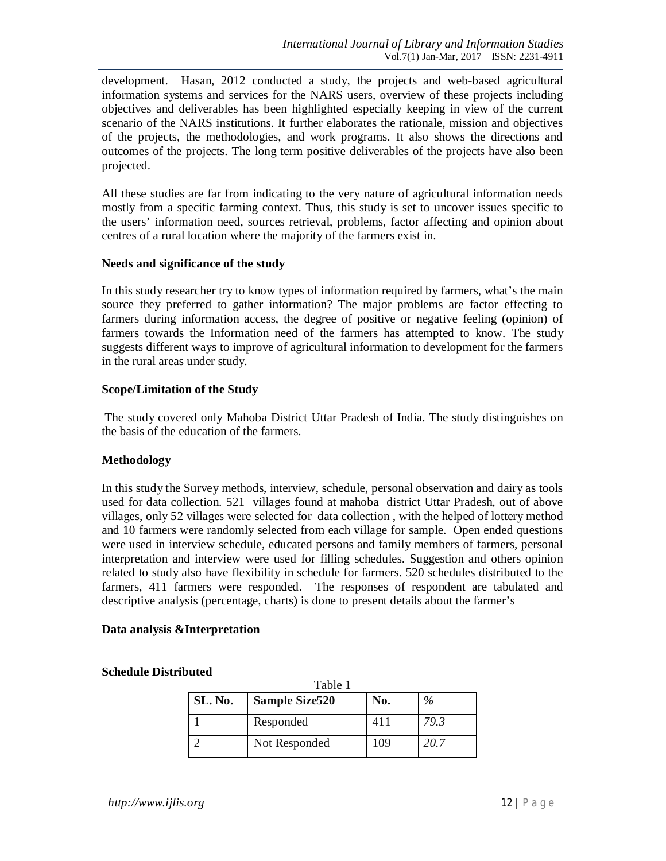development. Hasan, 2012 conducted a study, the projects and web-based agricultural information systems and services for the NARS users, overview of these projects including objectives and deliverables has been highlighted especially keeping in view of the current scenario of the NARS institutions. It further elaborates the rationale, mission and objectives of the projects, the methodologies, and work programs. It also shows the directions and outcomes of the projects. The long term positive deliverables of the projects have also been projected.

All these studies are far from indicating to the very nature of agricultural information needs mostly from a specific farming context. Thus, this study is set to uncover issues specific to the users' information need, sources retrieval, problems, factor affecting and opinion about centres of a rural location where the majority of the farmers exist in.

#### **Needs and significance of the study**

In this study researcher try to know types of information required by farmers, what's the main source they preferred to gather information? The major problems are factor effecting to farmers during information access, the degree of positive or negative feeling (opinion) of farmers towards the Information need of the farmers has attempted to know. The study suggests different ways to improve of agricultural information to development for the farmers in the rural areas under study.

## **Scope/Limitation of the Study**

The study covered only Mahoba District Uttar Pradesh of India. The study distinguishes on the basis of the education of the farmers.

## **Methodology**

In this study the Survey methods, interview, schedule, personal observation and dairy as tools used for data collection. 521 villages found at mahoba district Uttar Pradesh, out of above villages, only 52 villages were selected for data collection , with the helped of lottery method and 10 farmers were randomly selected from each village for sample. Open ended questions were used in interview schedule, educated persons and family members of farmers, personal interpretation and interview were used for filling schedules. Suggestion and others opinion related to study also have flexibility in schedule for farmers. 520 schedules distributed to the farmers, 411 farmers were responded. The responses of respondent are tabulated and descriptive analysis (percentage, charts) is done to present details about the farmer's

#### **Data analysis &Interpretation**

| Table 1 |                       |     |      |  |
|---------|-----------------------|-----|------|--|
| SL. No. | <b>Sample Size520</b> | No. | $\%$ |  |
|         | Responded             |     | 79.3 |  |
|         | Not Responded         | 109 | 20.7 |  |

## **Schedule Distributed**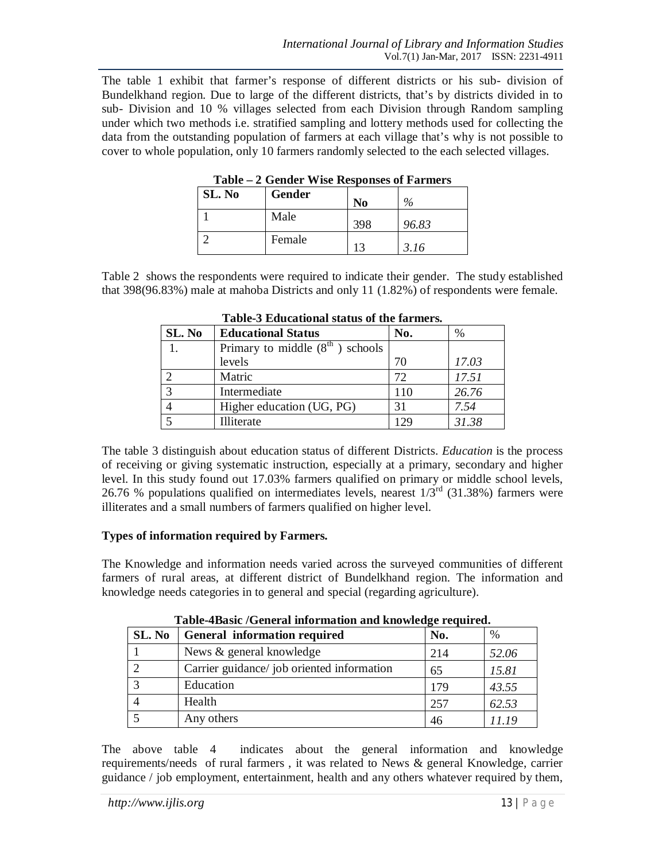The table 1 exhibit that farmer's response of different districts or his sub- division of Bundelkhand region. Due to large of the different districts, that's by districts divided in to sub- Division and 10 % villages selected from each Division through Random sampling under which two methods i.e. stratified sampling and lottery methods used for collecting the data from the outstanding population of farmers at each village that's why is not possible to cover to whole population, only 10 farmers randomly selected to the each selected villages.

| TUNIC<br>$\approx$ Octivity which is a substitute of the set of $\sim$ |        |     |       |  |
|------------------------------------------------------------------------|--------|-----|-------|--|
| SL. No                                                                 | Gender | No  | $\%$  |  |
|                                                                        | Male   | 398 | 96.83 |  |
|                                                                        | Female |     | 3.16  |  |

**Table – 2 Gender Wise Responses of Farmers**

Table 2 shows the respondents were required to indicate their gender. The study established that 398(96.83%) male at mahoba Districts and only 11 (1.82%) of respondents were female.

| SL. No | <b>Educational Status</b>         | No.   | $\%$  |
|--------|-----------------------------------|-------|-------|
|        | Primary to middle $(8th)$ schools |       |       |
|        | levels                            | 70    | 17.03 |
|        | Matric                            | 72    | 17.51 |
| 3      | Intermediate                      | 110   | 26.76 |
|        | Higher education (UG, PG)         | 31    | 7.54  |
|        | Illiterate                        | 1 2 G | 31.38 |

**Table-3 Educational status of the farmers.**

The table 3 distinguish about education status of different Districts. *Education* is the process of receiving or giving systematic instruction, especially at a primary, secondary and higher level. In this study found out 17.03% farmers qualified on primary or middle school levels, 26.76 % populations qualified on intermediates levels, nearest  $1/3^{rd}$  (31.38%) farmers were illiterates and a small numbers of farmers qualified on higher level.

## **Types of information required by Farmers.**

The Knowledge and information needs varied across the surveyed communities of different farmers of rural areas, at different district of Bundelkhand region. The information and knowledge needs categories in to general and special (regarding agriculture).

|        | Table-4 Dasic /General Information and Knowledge required. |     |               |  |
|--------|------------------------------------------------------------|-----|---------------|--|
| SL. No | General information required                               | No. | $\frac{0}{0}$ |  |
|        | News & general knowledge                                   | 214 | 52.06         |  |
|        | Carrier guidance/job oriented information                  | 65  | 15.81         |  |
|        | Education                                                  | 179 | 43.55         |  |
|        | Health                                                     | 257 | 62.53         |  |
|        | Any others                                                 | 46  | 11.19         |  |

**Table-4Basic /General information and knowledge required.**

The above table 4 indicates about the general information and knowledge requirements/needs of rural farmers , it was related to News & general Knowledge, carrier guidance / job employment, entertainment, health and any others whatever required by them,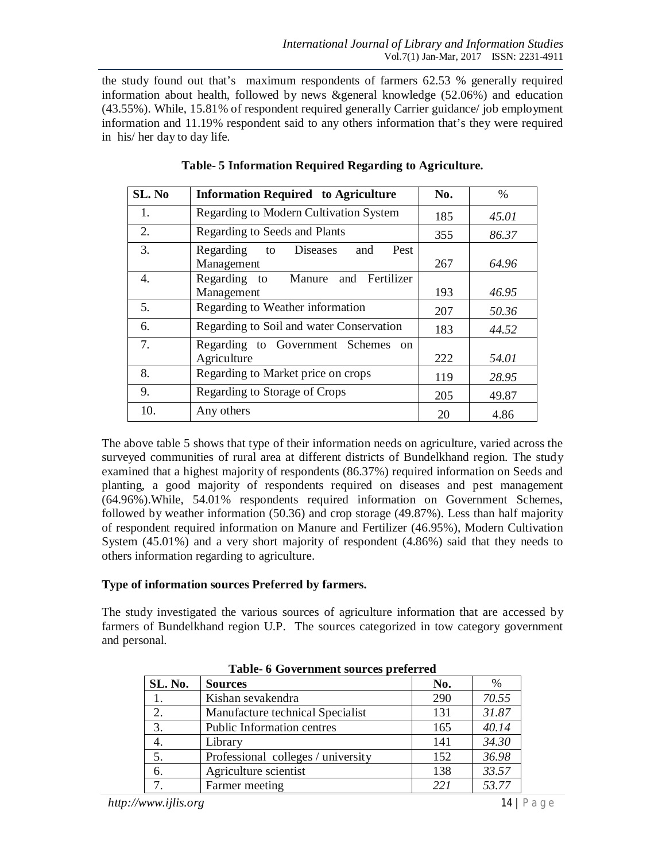the study found out that's maximum respondents of farmers 62.53 % generally required information about health, followed by news &general knowledge (52.06%) and education (43.55%). While, 15.81% of respondent required generally Carrier guidance/ job employment information and 11.19% respondent said to any others information that's they were required in his/ her day to day life.

| SL. No | <b>Information Required to Agriculture</b>                      | No. | $\%$  |
|--------|-----------------------------------------------------------------|-----|-------|
| 1.     | Regarding to Modern Cultivation System                          | 185 | 45.01 |
| 2.     | Regarding to Seeds and Plants                                   | 355 | 86.37 |
| 3.     | Regarding<br><b>Diseases</b><br>Pest<br>to<br>and<br>Management | 267 | 64.96 |
| 4.     | Regarding to Manure<br>Fertilizer<br>and<br>Management          | 193 | 46.95 |
| 5.     | Regarding to Weather information                                | 207 | 50.36 |
| 6.     | Regarding to Soil and water Conservation                        | 183 | 44.52 |
| 7.     | Regarding to Government Schemes on<br>Agriculture               | 222 | 54.01 |
| 8.     | Regarding to Market price on crops                              | 119 | 28.95 |
| 9.     | Regarding to Storage of Crops                                   | 205 | 49.87 |
| 10.    | Any others                                                      | 20  | 4.86  |

**Table- 5 Information Required Regarding to Agriculture.**

The above table 5 shows that type of their information needs on agriculture, varied across the surveyed communities of rural area at different districts of Bundelkhand region. The study examined that a highest majority of respondents (86.37%) required information on Seeds and planting, a good majority of respondents required on diseases and pest management (64.96%).While, 54.01% respondents required information on Government Schemes, followed by weather information (50.36) and crop storage (49.87%). Less than half majority of respondent required information on Manure and Fertilizer (46.95%), Modern Cultivation System (45.01%) and a very short majority of respondent (4.86%) said that they needs to others information regarding to agriculture.

#### **Type of information sources Preferred by farmers.**

The study investigated the various sources of agriculture information that are accessed by farmers of Bundelkhand region U.P. The sources categorized in tow category government and personal.

| SL. No. | <b>Sources</b>                     | No. | %     |
|---------|------------------------------------|-----|-------|
|         | Kishan sevakendra                  | 290 | 70.55 |
|         | Manufacture technical Specialist   | 131 | 31.87 |
| 3.      | Public Information centres         | 165 | 40.14 |
|         | Library                            | 141 | 34.30 |
| 5.      | Professional colleges / university | 152 | 36.98 |
| 6.      | Agriculture scientist              | 138 | 33.57 |
|         | Farmer meeting                     | 22i | 53.77 |

**Table- 6 Government sources preferred**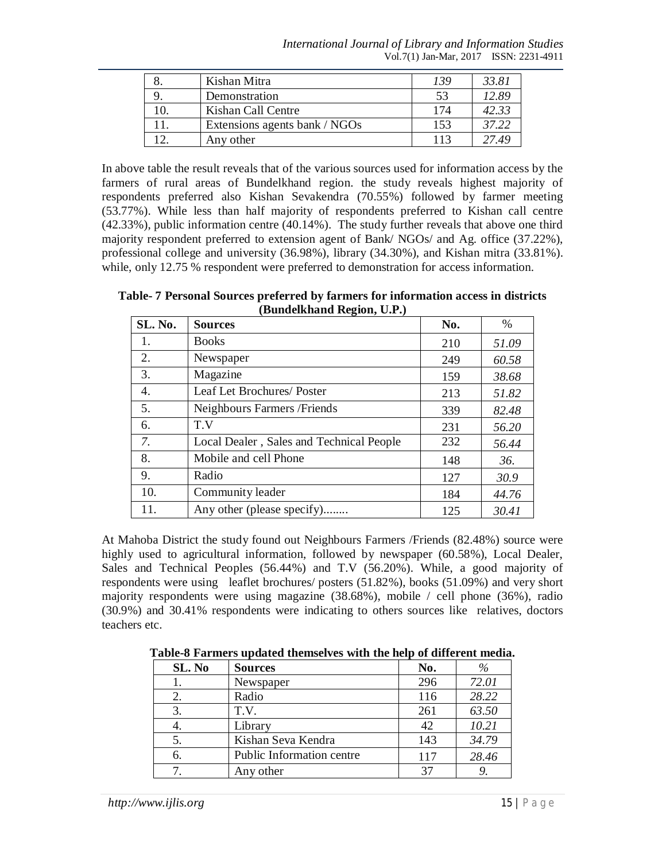*International Journal of Library and Information Studies* Vol.7(1) Jan-Mar, 2017 ISSN: 2231-4911

|     | Kishan Mitra                  | 139 | 33.81 |
|-----|-------------------------------|-----|-------|
|     | Demonstration                 | 53  | 12.89 |
| 10. | Kishan Call Centre            | 174 | 42.33 |
|     | Extensions agents bank / NGOs | 153 | 37.22 |
|     | Any other                     | 113 | 2749  |

In above table the result reveals that of the various sources used for information access by the farmers of rural areas of Bundelkhand region. the study reveals highest majority of respondents preferred also Kishan Sevakendra (70.55%) followed by farmer meeting (53.77%). While less than half majority of respondents preferred to Kishan call centre (42.33%), public information centre (40.14%). The study further reveals that above one third majority respondent preferred to extension agent of Bank/ NGOs/ and Ag. office (37.22%), professional college and university (36.98%), library (34.30%), and Kishan mitra (33.81%). while, only 12.75 % respondent were preferred to demonstration for access information.

**Table- 7 Personal Sources preferred by farmers for information access in districts (Bundelkhand Region, U.P.)**

| SL. No. | <b>Sources</b>                           | No. | $\%$  |
|---------|------------------------------------------|-----|-------|
| 1.      | <b>Books</b>                             | 210 | 51.09 |
| 2.      | Newspaper                                | 249 | 60.58 |
| 3.      | Magazine                                 | 159 | 38.68 |
| 4.      | Leaf Let Brochures/ Poster               | 213 | 51.82 |
| 5.      | Neighbours Farmers / Friends             | 339 | 82.48 |
| 6.      | T.V                                      | 231 | 56.20 |
| 7.      | Local Dealer, Sales and Technical People | 232 | 56.44 |
| 8.      | Mobile and cell Phone                    | 148 | 36.   |
| 9.      | Radio                                    | 127 | 30.9  |
| 10.     | Community leader                         | 184 | 44.76 |
| 11.     | Any other (please specify)               | 125 | 30.41 |

At Mahoba District the study found out Neighbours Farmers /Friends (82.48%) source were highly used to agricultural information, followed by newspaper (60.58%), Local Dealer, Sales and Technical Peoples (56.44%) and T.V (56.20%). While, a good majority of respondents were using leaflet brochures/ posters (51.82%), books (51.09%) and very short majority respondents were using magazine (38.68%), mobile / cell phone (36%), radio (30.9%) and 30.41% respondents were indicating to others sources like relatives, doctors teachers etc.

| SL. No | <b>Sources</b>            | No. | %     |
|--------|---------------------------|-----|-------|
|        | Newspaper                 | 296 | 72.01 |
| 2.     | Radio                     | 116 | 28.22 |
| 3.     | T.V.                      | 261 | 63.50 |
|        | Library                   | 42  | 10.21 |
| 5.     | Kishan Seva Kendra        | 143 | 34.79 |
| 6.     | Public Information centre | 117 | 28.46 |
|        | Any other                 | 37  |       |

**Table-8 Farmers updated themselves with the help of different media.**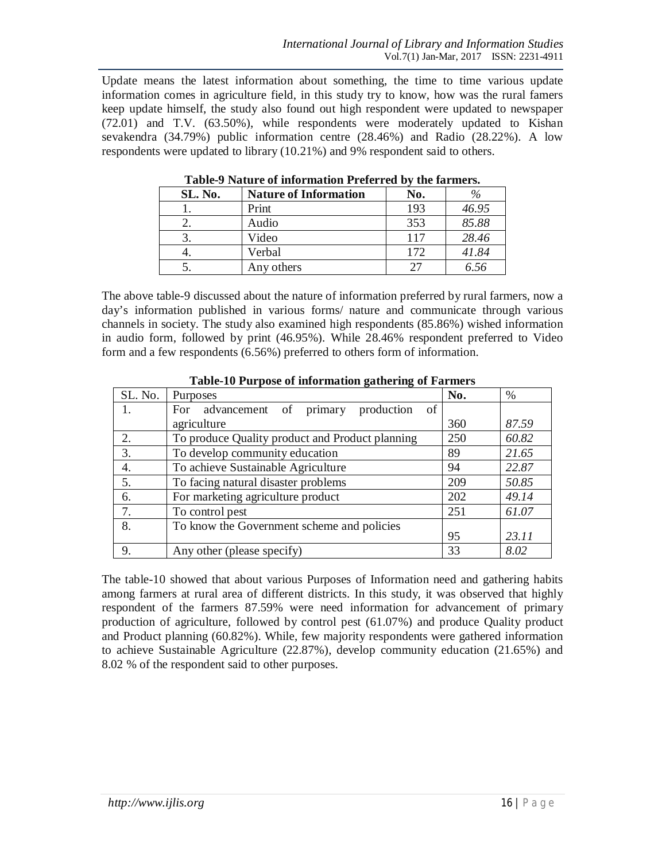Update means the latest information about something, the time to time various update information comes in agriculture field, in this study try to know, how was the rural famers keep update himself, the study also found out high respondent were updated to newspaper (72.01) and T.V. (63.50%), while respondents were moderately updated to Kishan sevakendra (34.79%) public information centre (28.46%) and Radio (28.22%). A low respondents were updated to library (10.21%) and 9% respondent said to others.

| Table-7 Nature of hilorination Treferred by the farmers. |                              |     |       |
|----------------------------------------------------------|------------------------------|-----|-------|
| SL. No.                                                  | <b>Nature of Information</b> | No. |       |
|                                                          | Print                        | 193 | 46.95 |
| 2.                                                       | Audio                        | 353 | 85.88 |
|                                                          | Video                        | 117 | 28.46 |
|                                                          | Verbal                       | 172 | 41.84 |
|                                                          | Any others                   |     | 6.56  |

**Table-9 Nature of information Preferred by the farmers.**

The above table-9 discussed about the nature of information preferred by rural farmers, now a day's information published in various forms/ nature and communicate through various channels in society. The study also examined high respondents (85.86%) wished information in audio form, followed by print (46.95%). While 28.46% respondent preferred to Video form and a few respondents (6.56%) preferred to others form of information.

| SL. No. | Purposes                                          | No. | %     |
|---------|---------------------------------------------------|-----|-------|
| 1.      | advancement of primary<br>production<br>of<br>For |     |       |
|         | agriculture                                       | 360 | 87.59 |
| 2.      | To produce Quality product and Product planning   | 250 | 60.82 |
| 3.      | To develop community education                    | 89  | 21.65 |
| 4.      | To achieve Sustainable Agriculture                | 94  | 22.87 |
| 5.      | To facing natural disaster problems               | 209 | 50.85 |
| 6.      | For marketing agriculture product                 | 202 | 49.14 |
| 7.      | To control pest                                   | 251 | 61.07 |
| 8.      | To know the Government scheme and policies        |     |       |
|         |                                                   | 95  | 23.11 |
| 9.      | Any other (please specify)                        | 33  | 8.02  |

**Table-10 Purpose of information gathering of Farmers**

The table-10 showed that about various Purposes of Information need and gathering habits among farmers at rural area of different districts. In this study, it was observed that highly respondent of the farmers 87.59% were need information for advancement of primary production of agriculture, followed by control pest (61.07%) and produce Quality product and Product planning (60.82%). While, few majority respondents were gathered information to achieve Sustainable Agriculture (22.87%), develop community education (21.65%) and 8.02 % of the respondent said to other purposes.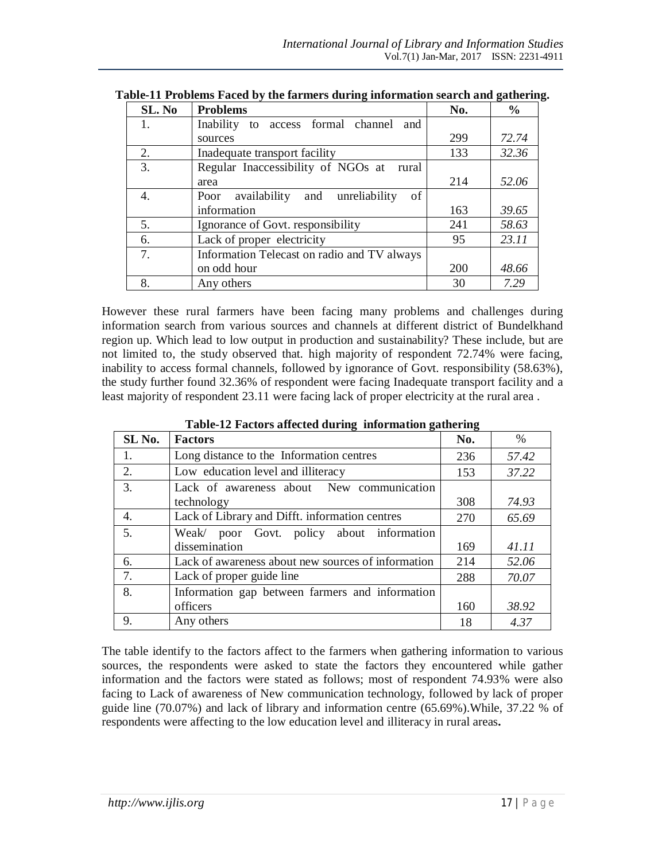| SL. No | <b>Problems</b>                                    | No. | $\frac{0}{0}$ |
|--------|----------------------------------------------------|-----|---------------|
| 1.     | Inability<br>to access formal channel<br>and       |     |               |
|        | sources                                            | 299 | 72.74         |
| 2.     | Inadequate transport facility                      | 133 | 32.36         |
| 3.     | Regular Inaccessibility of NGOs at<br>rural        |     |               |
|        | area                                               | 214 | 52.06         |
| 4.     | unreliability<br>of<br>availability<br>and<br>Poor |     |               |
|        | information                                        | 163 | 39.65         |
| 5.     | Ignorance of Govt. responsibility                  | 241 | 58.63         |
| 6.     | Lack of proper electricity                         | 95  | 23.11         |
| 7.     | Information Telecast on radio and TV always        |     |               |
|        | on odd hour                                        | 200 | 48.66         |
| 8.     | Any others                                         | 30  | 7.29          |

| Table-11 Problems Faced by the farmers during information search and gathering. |  |  |  |  |  |
|---------------------------------------------------------------------------------|--|--|--|--|--|
|                                                                                 |  |  |  |  |  |

However these rural farmers have been facing many problems and challenges during information search from various sources and channels at different district of Bundelkhand region up. Which lead to low output in production and sustainability? These include, but are not limited to, the study observed that. high majority of respondent 72.74% were facing, inability to access formal channels, followed by ignorance of Govt. responsibility (58.63%), the study further found 32.36% of respondent were facing Inadequate transport facility and a least majority of respondent 23.11 were facing lack of proper electricity at the rural area .

| SL No. | <b>Factors</b>                                     | No. | $\%$  |
|--------|----------------------------------------------------|-----|-------|
| 1.     | Long distance to the Information centres           | 236 | 57.42 |
| 2.     | Low education level and illiteracy                 | 153 | 37.22 |
| 3.     | Lack of awareness about New communication          |     |       |
|        | technology                                         | 308 | 74.93 |
| 4.     | Lack of Library and Difft. information centres     | 270 | 65.69 |
| 5.     | Weak/ poor Govt. policy about information          |     |       |
|        | dissemination                                      | 169 | 41.11 |
| 6.     | Lack of awareness about new sources of information | 214 | 52.06 |
| 7.     | Lack of proper guide line                          | 288 | 70.07 |
| 8.     | Information gap between farmers and information    |     |       |
|        | officers                                           | 160 | 38.92 |
| 9.     | Any others                                         | 18  | 4.37  |

**Table-12 Factors affected during information gathering**

The table identify to the factors affect to the farmers when gathering information to various sources, the respondents were asked to state the factors they encountered while gather information and the factors were stated as follows; most of respondent 74.93% were also facing to Lack of awareness of New communication technology, followed by lack of proper guide line (70.07%) and lack of library and information centre (65.69%).While, 37.22 % of respondents were affecting to the low education level and illiteracy in rural areas**.**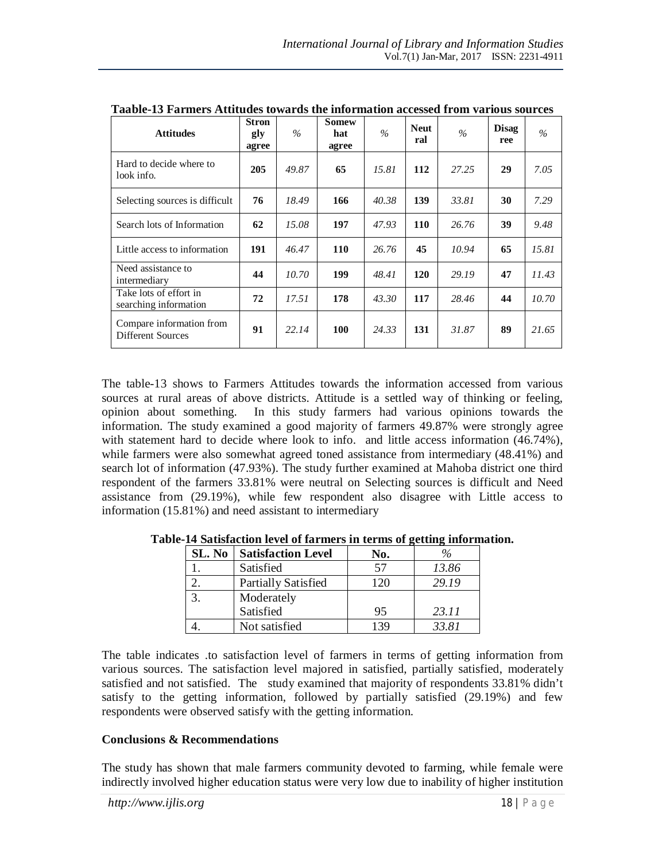| <b>Attitudes</b>                                     | <b>Stron</b><br>gly<br>agree | $\%$  | <b>Somew</b><br>hat<br>agree | $\frac{0}{6}$ | <b>Neut</b><br>ral | $\%$  | <b>Disag</b><br>ree | $\%$  |
|------------------------------------------------------|------------------------------|-------|------------------------------|---------------|--------------------|-------|---------------------|-------|
| Hard to decide where to<br>look info.                | 205                          | 49.87 | 65                           | 15.81         | 112                | 27.25 | 29                  | 7.05  |
| Selecting sources is difficult                       | 76                           | 18.49 | 166                          | 40.38         | 139                | 33.81 | 30                  | 7.29  |
| Search lots of Information                           | 62                           | 15.08 | 197                          | 47.93         | 110                | 26.76 | 39                  | 9.48  |
| Little access to information                         | 191                          | 46.47 | <b>110</b>                   | 26.76         | 45                 | 10.94 | 65                  | 15.81 |
| Need assistance to<br>intermediary                   | 44                           | 10.70 | 199                          | 48.41         | 120                | 29.19 | 47                  | 11.43 |
| Take lots of effort in<br>searching information      | 72                           | 17.51 | 178                          | 43.30         | 117                | 28.46 | 44                  | 10.70 |
| Compare information from<br><b>Different Sources</b> | 91                           | 22.14 | 100                          | 24.33         | 131                | 31.87 | 89                  | 21.65 |

**Taable-13 Farmers Attitudes towards the information accessed from various sources**

The table-13 shows to Farmers Attitudes towards the information accessed from various sources at rural areas of above districts. Attitude is a settled way of thinking or feeling, opinion about something. In this study farmers had various opinions towards the information. The study examined a good majority of farmers 49.87% were strongly agree with statement hard to decide where look to info. and little access information (46.74%), while farmers were also somewhat agreed toned assistance from intermediary (48.41%) and search lot of information (47.93%). The study further examined at Mahoba district one third respondent of the farmers 33.81% were neutral on Selecting sources is difficult and Need assistance from (29.19%), while few respondent also disagree with Little access to information (15.81%) and need assistant to intermediary

| SL. No | <b>Satisfaction Level</b>  | No. |       |
|--------|----------------------------|-----|-------|
|        | Satisfied                  | 57  | 13.86 |
|        | <b>Partially Satisfied</b> | 120 | 29.19 |
|        | Moderately                 |     |       |
|        | Satisfied                  | 95  | 23.11 |
|        | Not satisfied              | 139 | 33.81 |

**Table-14 Satisfaction level of farmers in terms of getting information.**

The table indicates .to satisfaction level of farmers in terms of getting information from various sources. The satisfaction level majored in satisfied, partially satisfied, moderately satisfied and not satisfied. The study examined that majority of respondents 33.81% didn't satisfy to the getting information, followed by partially satisfied (29.19%) and few respondents were observed satisfy with the getting information.

#### **Conclusions & Recommendations**

The study has shown that male farmers community devoted to farming, while female were indirectly involved higher education status were very low due to inability of higher institution